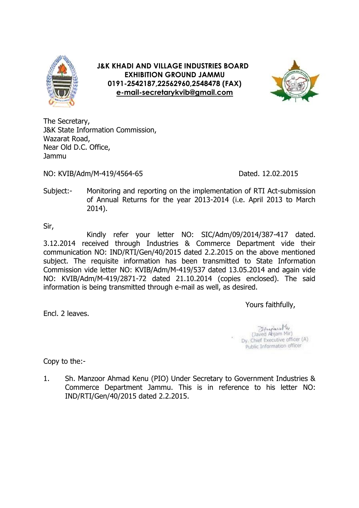

**J&K KHADI AND VILLAGE INDUSTRIES BOARD EXHIBITION GROUND JAMMU 0191-2542187,22562960,2548478 (FAX) [e-mail-secretarykvib@gmail.com](mailto:e-mail-secretarykvib@gmail.com)**



The Secretary, J&K State Information Commission, Wazarat Road, Near Old D.C. Office, Jammu

NO: KVIB/Adm/M-419/4564-65 Dated. 12.02.2015

Subject:- Monitoring and reporting on the implementation of RTI Act-submission of Annual Returns for the year 2013-2014 (i.e. April 2013 to March 2014).

Sir,

Kindly refer your letter NO: SIC/Adm/09/2014/387-417 dated. 3.12.2014 received through Industries & Commerce Department vide their communication NO: IND/RTI/Gen/40/2015 dated 2.2.2015 on the above mentioned subject. The requisite information has been transmitted to State Information Commission vide letter NO: KVIB/Adm/M-419/537 dated 13.05.2014 and again vide NO: KVIB/Adm/M-419/2871-72 dated 21.10.2014 (copies enclosed). The said information is being transmitted through e-mail as well, as desired.

Yours faithfully,

Encl. 2 leaves.

(Javed Anjam Mir) Dy. Chief Executive officer (A) Public Information officer

Copy to the:-

1. Sh. Manzoor Ahmad Kenu (PIO) Under Secretary to Government Industries & Commerce Department Jammu. This is in reference to his letter NO: IND/RTI/Gen/40/2015 dated 2.2.2015.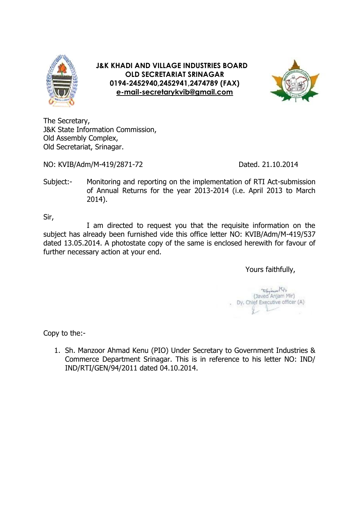

**J&K KHADI AND VILLAGE INDUSTRIES BOARD OLD SECRETARIAT SRINAGAR 0194-2452940,2452941,2474789 (FAX) [e-mail-secretarykvib@gmail.com](mailto:e-mail-secretarykvib@gmail.com)**



The Secretary, J&K State Information Commission, Old Assembly Complex, Old Secretariat, Srinagar.

NO: KVIB/Adm/M-419/2871-72 Dated. 21.10.2014

Subject:- Monitoring and reporting on the implementation of RTI Act-submission of Annual Returns for the year 2013-2014 (i.e. April 2013 to March 2014).

Sir,

I am directed to request you that the requisite information on the subject has already been furnished vide this office letter NO: KVIB/Adm/M-419/537 dated 13.05.2014. A photostate copy of the same is enclosed herewith for favour of further necessary action at your end.

Yours faithfully,

Aniam Mir) Dy. Chief Executive officer (A)

Copy to the:-

1. Sh. Manzoor Ahmad Kenu (PIO) Under Secretary to Government Industries & Commerce Department Srinagar. This is in reference to his letter NO: IND/ IND/RTI/GEN/94/2011 dated 04.10.2014.